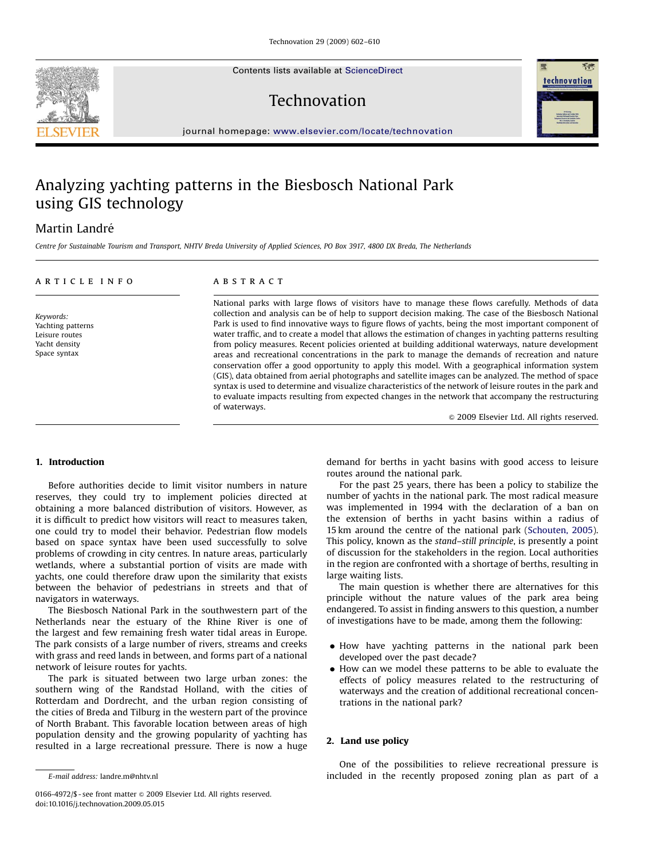Contents lists available at ScienceDirect

### Technovation



journal homepage: <www.elsevier.com/locate/technovation>

## Analyzing yachting patterns in the Biesbosch National Park using GIS technology

### Martin Landré

Centre for Sustainable Tourism and Transport, NHTV Breda University of Applied Sciences, PO Box 3917, 4800 DX Breda, The Netherlands

| ARTICLE INFO                                                                      | A B S T R A C T                                                                                                                                                                                                                                                                                                                                                                                                                                                                                                                                                                                                                                                                                                                                                                                                                                                                                                                                                                                                                                                                                  |
|-----------------------------------------------------------------------------------|--------------------------------------------------------------------------------------------------------------------------------------------------------------------------------------------------------------------------------------------------------------------------------------------------------------------------------------------------------------------------------------------------------------------------------------------------------------------------------------------------------------------------------------------------------------------------------------------------------------------------------------------------------------------------------------------------------------------------------------------------------------------------------------------------------------------------------------------------------------------------------------------------------------------------------------------------------------------------------------------------------------------------------------------------------------------------------------------------|
| Keywords:<br>Yachting patterns<br>Leisure routes<br>Yacht density<br>Space syntax | National parks with large flows of visitors have to manage these flows carefully. Methods of data<br>collection and analysis can be of help to support decision making. The case of the Biesbosch National<br>Park is used to find innovative ways to figure flows of yachts, being the most important component of<br>water traffic, and to create a model that allows the estimation of changes in yachting patterns resulting<br>from policy measures. Recent policies oriented at building additional waterways, nature development<br>areas and recreational concentrations in the park to manage the demands of recreation and nature<br>conservation offer a good opportunity to apply this model. With a geographical information system<br>(GIS), data obtained from aerial photographs and satellite images can be analyzed. The method of space<br>syntax is used to determine and visualize characteristics of the network of leisure routes in the park and<br>to evaluate impacts resulting from expected changes in the network that accompany the restructuring<br>of waterways. |

 $\odot$  2009 Elsevier Ltd. All rights reserved.

#### 1. Introduction

Before authorities decide to limit visitor numbers in nature reserves, they could try to implement policies directed at obtaining a more balanced distribution of visitors. However, as it is difficult to predict how visitors will react to measures taken, one could try to model their behavior. Pedestrian flow models based on space syntax have been used successfully to solve problems of crowding in city centres. In nature areas, particularly wetlands, where a substantial portion of visits are made with yachts, one could therefore draw upon the similarity that exists between the behavior of pedestrians in streets and that of navigators in waterways.

The Biesbosch National Park in the southwestern part of the Netherlands near the estuary of the Rhine River is one of the largest and few remaining fresh water tidal areas in Europe. The park consists of a large number of rivers, streams and creeks with grass and reed lands in between, and forms part of a national network of leisure routes for yachts.

The park is situated between two large urban zones: the southern wing of the Randstad Holland, with the cities of Rotterdam and Dordrecht, and the urban region consisting of the cities of Breda and Tilburg in the western part of the province of North Brabant. This favorable location between areas of high population density and the growing popularity of yachting has resulted in a large recreational pressure. There is now a huge demand for berths in yacht basins with good access to leisure routes around the national park.

For the past 25 years, there has been a policy to stabilize the number of yachts in the national park. The most radical measure was implemented in 1994 with the declaration of a ban on the extension of berths in yacht basins within a radius of 15 km around the centre of the national park ([Schouten, 2005\)](#page--1-0). This policy, known as the stand–still principle, is presently a point of discussion for the stakeholders in the region. Local authorities in the region are confronted with a shortage of berths, resulting in large waiting lists.

The main question is whether there are alternatives for this principle without the nature values of the park area being endangered. To assist in finding answers to this question, a number of investigations have to be made, among them the following:

- $\bullet$  How have yachting patterns in the national park been developed over the past decade?
- $\bullet$  How can we model these patterns to be able to evaluate the effects of policy measures related to the restructuring of waterways and the creation of additional recreational concentrations in the national park?

#### 2. Land use policy

One of the possibilities to relieve recreational pressure is included in the recently proposed zoning plan as part of a



E-mail address: [landre.m@nhtv.nl](mailto:landre.m@nhtv.nl)

<sup>0166-4972/\$ -</sup> see front matter @ 2009 Elsevier Ltd. All rights reserved. doi:[10.1016/j.technovation.2009.05.015](dx.doi.org/10.1016/j.technovation.2009.05.015)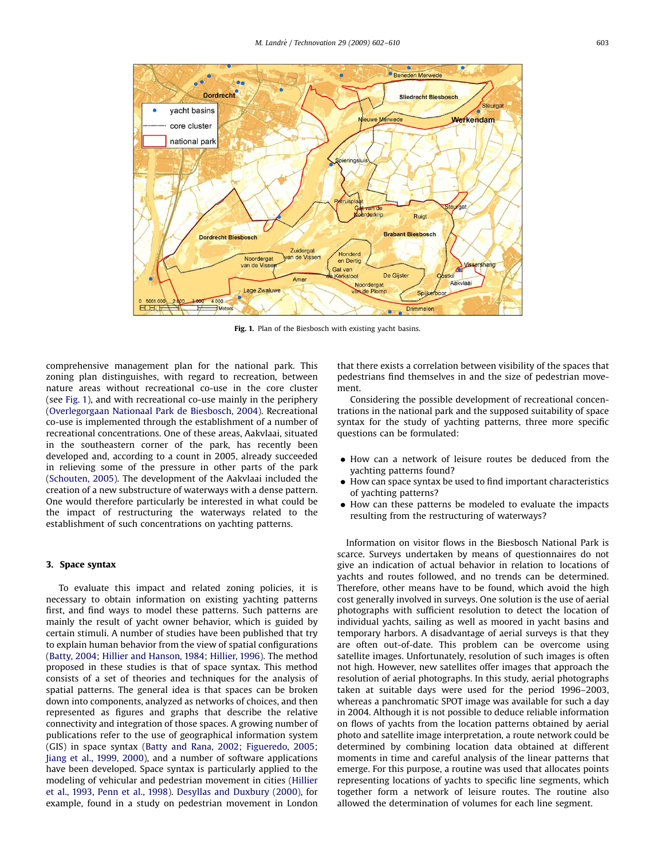

Fig. 1. Plan of the Biesbosch with existing yacht basins.

comprehensive management plan for the national park. This zoning plan distinguishes, with regard to recreation, between nature areas without recreational co-use in the core cluster (see Fig. 1), and with recreational co-use mainly in the periphery ([Overlegorgaan Nationaal Park de Biesbosch, 2004](#page--1-0)). Recreational co-use is implemented through the establishment of a number of recreational concentrations. One of these areas, Aakvlaai, situated in the southeastern corner of the park, has recently been developed and, according to a count in 2005, already succeeded in relieving some of the pressure in other parts of the park ([Schouten, 2005](#page--1-0)). The development of the Aakvlaai included the creation of a new substructure of waterways with a dense pattern. One would therefore particularly be interested in what could be the impact of restructuring the waterways related to the establishment of such concentrations on yachting patterns.

#### 3. Space syntax

To evaluate this impact and related zoning policies, it is necessary to obtain information on existing yachting patterns first, and find ways to model these patterns. Such patterns are mainly the result of yacht owner behavior, which is guided by certain stimuli. A number of studies have been published that try to explain human behavior from the view of spatial configurations ([Batty, 2004](#page--1-0); [Hillier and Hanson, 1984;](#page--1-0) [Hillier, 1996](#page--1-0)). The method proposed in these studies is that of space syntax. This method consists of a set of theories and techniques for the analysis of spatial patterns. The general idea is that spaces can be broken down into components, analyzed as networks of choices, and then represented as figures and graphs that describe the relative connectivity and integration of those spaces. A growing number of publications refer to the use of geographical information system (GIS) in space syntax ([Batty and Rana, 2002;](#page--1-0) [Figueredo, 2005;](#page--1-0) [Jiang et al., 1999, 2000\)](#page--1-0), and a number of software applications have been developed. Space syntax is particularly applied to the modeling of vehicular and pedestrian movement in cities ([Hillier](#page--1-0) [et al., 1993](#page--1-0), [Penn et al., 1998](#page--1-0)). [Desyllas and Duxbury \(2000\),](#page--1-0) for example, found in a study on pedestrian movement in London that there exists a correlation between visibility of the spaces that pedestrians find themselves in and the size of pedestrian movement.

Considering the possible development of recreational concentrations in the national park and the supposed suitability of space syntax for the study of yachting patterns, three more specific questions can be formulated:

- $\bullet$  How can a network of leisure routes be deduced from the yachting patterns found?
- $\bullet$  How can space syntax be used to find important characteristics of yachting patterns?
- $\bullet$  How can these patterns be modeled to evaluate the impacts resulting from the restructuring of waterways?

Information on visitor flows in the Biesbosch National Park is scarce. Surveys undertaken by means of questionnaires do not give an indication of actual behavior in relation to locations of yachts and routes followed, and no trends can be determined. Therefore, other means have to be found, which avoid the high cost generally involved in surveys. One solution is the use of aerial photographs with sufficient resolution to detect the location of individual yachts, sailing as well as moored in yacht basins and temporary harbors. A disadvantage of aerial surveys is that they are often out-of-date. This problem can be overcome using satellite images. Unfortunately, resolution of such images is often not high. However, new satellites offer images that approach the resolution of aerial photographs. In this study, aerial photographs taken at suitable days were used for the period 1996–2003, whereas a panchromatic SPOT image was available for such a day in 2004. Although it is not possible to deduce reliable information on flows of yachts from the location patterns obtained by aerial photo and satellite image interpretation, a route network could be determined by combining location data obtained at different moments in time and careful analysis of the linear patterns that emerge. For this purpose, a routine was used that allocates points representing locations of yachts to specific line segments, which together form a network of leisure routes. The routine also allowed the determination of volumes for each line segment.